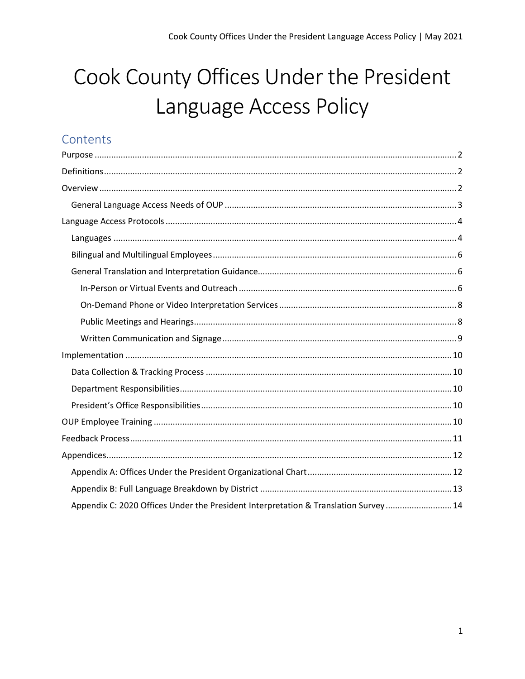# Cook County Offices Under the President Language Access Policy

# Contents

| Appendix C: 2020 Offices Under the President Interpretation & Translation Survey 14 |  |
|-------------------------------------------------------------------------------------|--|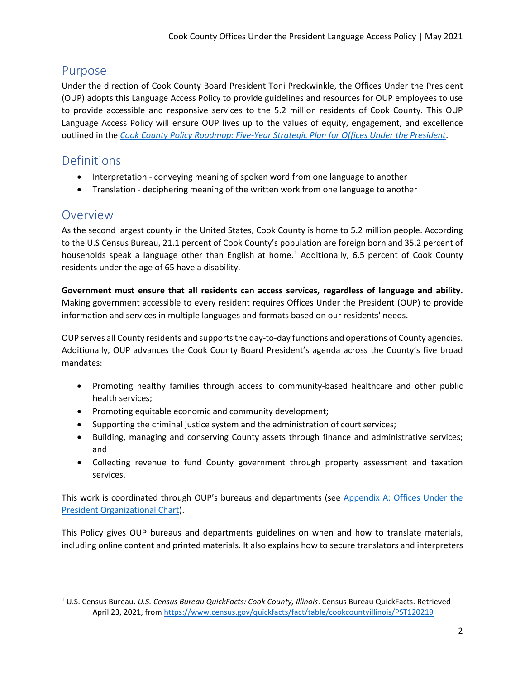# <span id="page-1-0"></span>Purpose

Under the direction of Cook County Board President Toni Preckwinkle, the Offices Under the President (OUP) adopts this Language Access Policy to provide guidelines and resources for OUP employees to use to provide accessible and responsive services to the 5.2 million residents of Cook County. This OUP Language Access Policy will ensure OUP lives up to the values of equity, engagement, and excellence outlined in the *[Cook County Policy Roadmap: Five-Year Strategic Plan for Offices Under the President](https://www.cookcountyil.gov/service/policy-roadmap)*.

# <span id="page-1-1"></span>**Definitions**

- Interpretation conveying meaning of spoken word from one language to another
- Translation deciphering meaning of the written work from one language to another

# <span id="page-1-2"></span>Overview

As the second largest county in the United States, Cook County is home to 5.2 million people. According to the U.S Census Bureau, 21.1 percent of Cook County's population are foreign born and 35.2 percent of households speak a language other than English at home.<sup>[1](#page-1-3)</sup> Additionally, 6.5 percent of Cook County residents under the age of 65 have a disability.

**Government must ensure that all residents can access services, regardless of language and ability.** Making government accessible to every resident requires Offices Under the President (OUP) to provide information and services in multiple languages and formats based on our residents' needs.

OUP serves all County residents and supports the day-to-day functions and operations of County agencies. Additionally, OUP advances the Cook County Board President's agenda across the County's five broad mandates:

- Promoting healthy families through access to community-based healthcare and other public health services;
- Promoting equitable economic and community development;
- Supporting the criminal justice system and the administration of court services;
- Building, managing and conserving County assets through finance and administrative services; and
- Collecting revenue to fund County government through property assessment and taxation services.

This work is coordinated through OUP's bureaus and departments (see [Appendix A: Offices Under the](#page-11-0)  President [Organizational Chart\)](#page-11-0).

This Policy gives OUP bureaus and departments guidelines on when and how to translate materials, including online content and printed materials. It also explains how to secure translators and interpreters

<span id="page-1-3"></span><sup>1</sup> U.S. Census Bureau. *U.S. Census Bureau QuickFacts: Cook County, Illinois*. Census Bureau QuickFacts. Retrieved April 23, 2021, fro[m https://www.census.gov/quickfacts/fact/table/cookcountyillinois/PST120219](https://www.census.gov/quickfacts/fact/table/cookcountyillinois/PST120219)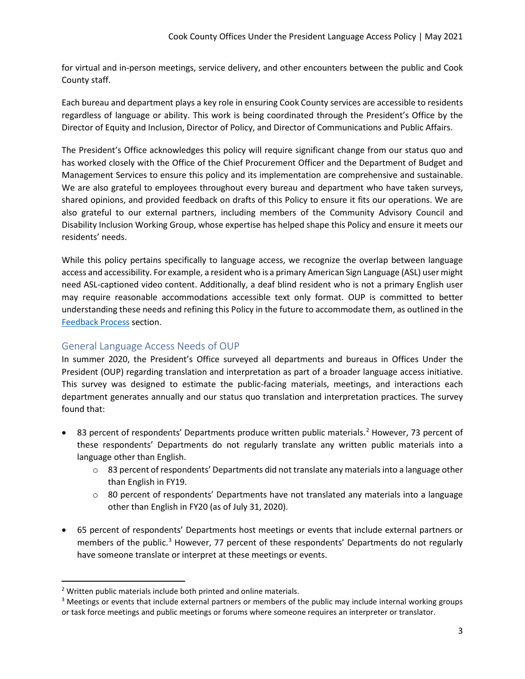for virtual and in-person meetings, service delivery, and other encounters between the public and Cook County staff.

Each bureau and department plays a key role in ensuring Cook County services are accessible to residents regardless of language or ability. This work is being coordinated through the President's Office by the Director of Equity and Inclusion, Director of Policy, and Director of Communications and Public Affairs.

The President's Office acknowledges this policy will require significant change from our status quo and has worked closely with the Office of the Chief Procurement Officer and the Department of Budget and Management Services to ensure this policy and its implementation are comprehensive and sustainable. We are also grateful to employees throughout every bureau and department who have taken surveys, shared opinions, and provided feedback on drafts of this Policy to ensure it fits our operations. We are also grateful to our external partners, including members of the Community Advisory Council and Disability Inclusion Working Group, whose expertise has helped shape this Policy and ensure it meets our residents' needs.

While this policy pertains specifically to language access, we recognize the overlap between language access and accessibility. For example, a resident who is a primary American Sign Language (ASL) user might need ASL-captioned video content. Additionally, a deaf blind resident who is not a primary English user may require reasonable accommodations accessible text only format. OUP is committed to better understanding these needs and refining this Policy in the future to accommodate them, as outlined in the [Feedback Process](#page-10-0) section.

# <span id="page-2-0"></span>General Language Access Needs of OUP

In summer 2020, the President's Office surveyed all departments and bureaus in Offices Under the President (OUP) regarding translation and interpretation as part of a broader language access initiative. This survey was designed to estimate the public-facing materials, meetings, and interactions each department generates annually and our status quo translation and interpretation practices. The survey found that:

- 83 percent of respondents' Departments produce written public materials.<sup>[2](#page-2-1)</sup> However, 73 percent of these respondents' Departments do not regularly translate any written public materials into a language other than English.
	- $\circ$  83 percent of respondents' Departments did not translate any materials into a language other than English in FY19.
	- $\circ$  80 percent of respondents' Departments have not translated any materials into a language other than English in FY20 (as of July 31, 2020).
- 65 percent of respondents' Departments host meetings or events that include external partners or members of the public.<sup>[3](#page-2-2)</sup> However, 77 percent of these respondents' Departments do not regularly have someone translate or interpret at these meetings or events.

<span id="page-2-1"></span><sup>2</sup> Written public materials include both printed and online materials.

<span id="page-2-2"></span><sup>&</sup>lt;sup>3</sup> Meetings or events that include external partners or members of the public may include internal working groups or task force meetings and public meetings or forums where someone requires an interpreter or translator.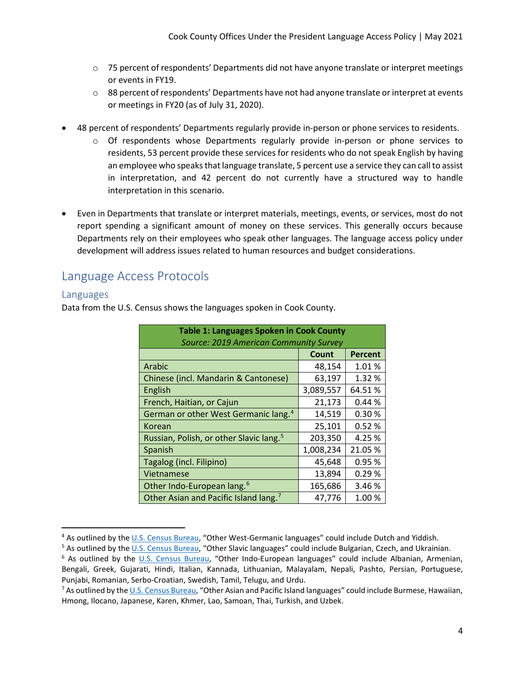- $\circ$  75 percent of respondents' Departments did not have anyone translate or interpret meetings or events in FY19.
- $\circ$  88 percent of respondents' Departments have not had anyone translate or interpret at events or meetings in FY20 (as of July 31, 2020).
- 48 percent of respondents' Departments regularly provide in-person or phone services to residents.
	- o Of respondents whose Departments regularly provide in-person or phone services to residents, 53 percent provide these services for residents who do not speak English by having an employee who speaks that language translate, 5 percent use a service they can call to assist in interpretation, and 42 percent do not currently have a structured way to handle interpretation in this scenario.
- Even in Departments that translate or interpret materials, meetings, events, or services, most do not report spending a significant amount of money on these services. This generally occurs because Departments rely on their employees who speak other languages. The language access policy under development will address issues related to human resources and budget considerations.

# <span id="page-3-0"></span>Language Access Protocols

### <span id="page-3-1"></span>Languages

Data from the U.S. Census shows the languages spoken in Cook County.

| <b>Table 1: Languages Spoken in Cook County</b>     |           |                |  |  |  |  |  |  |  |  |
|-----------------------------------------------------|-----------|----------------|--|--|--|--|--|--|--|--|
| Source: 2019 American Community Survey              |           |                |  |  |  |  |  |  |  |  |
|                                                     | Count     | <b>Percent</b> |  |  |  |  |  |  |  |  |
| Arabic                                              | 48,154    | 1.01%          |  |  |  |  |  |  |  |  |
| Chinese (incl. Mandarin & Cantonese)                | 63,197    | 1.32%          |  |  |  |  |  |  |  |  |
| English                                             | 3,089,557 | 64.51%         |  |  |  |  |  |  |  |  |
| French, Haitian, or Cajun                           | 21,173    | 0.44%          |  |  |  |  |  |  |  |  |
| German or other West Germanic lang. <sup>4</sup>    | 14,519    | 0.30%          |  |  |  |  |  |  |  |  |
| Korean                                              | 25,101    | 0.52%          |  |  |  |  |  |  |  |  |
| Russian, Polish, or other Slavic lang. <sup>5</sup> | 203,350   | 4.25%          |  |  |  |  |  |  |  |  |
| Spanish                                             | 1,008,234 | 21.05 %        |  |  |  |  |  |  |  |  |
| Tagalog (incl. Filipino)                            | 45,648    | 0.95%          |  |  |  |  |  |  |  |  |
| Vietnamese                                          | 13,894    | 0.29%          |  |  |  |  |  |  |  |  |
| Other Indo-European lang. <sup>6</sup>              | 165,686   | 3.46%          |  |  |  |  |  |  |  |  |
| Other Asian and Pacific Island lang. <sup>7</sup>   | 47,776    | 1.00%          |  |  |  |  |  |  |  |  |

<span id="page-3-2"></span><sup>&</sup>lt;sup>4</sup> As outlined by th[e U.S. Census Bureau,](https://www.census.gov/topics/population/language-use/about.html) "Other West-Germanic languages" could include Dutch and Yiddish.

<span id="page-3-3"></span><sup>5</sup> As outlined by th[e U.S. Census Bureau,](https://www.census.gov/topics/population/language-use/about.html) "Other Slavic languages" could include Bulgarian, Czech, and Ukrainian.

<span id="page-3-4"></span><sup>6</sup> As outlined by the [U.S. Census Bureau,](https://www.census.gov/topics/population/language-use/about.html) "Other Indo-European languages" could include Albanian, Armenian, Bengali, Greek, Gujarati, Hindi, Italian, Kannada, Lithuanian, Malayalam, Nepali, Pashto, Persian, Portuguese, Punjabi, Romanian, Serbo-Croatian, Swedish, Tamil, Telugu, and Urdu.

<span id="page-3-5"></span><sup>&</sup>lt;sup>7</sup> As outlined by th[e U.S. Census Bureau,](https://www.census.gov/topics/population/language-use/about.html) "Other Asian and Pacific Island languages" could include Burmese, Hawaiian, Hmong, Ilocano, Japanese, Karen, Khmer, Lao, Samoan, Thai, Turkish, and Uzbek.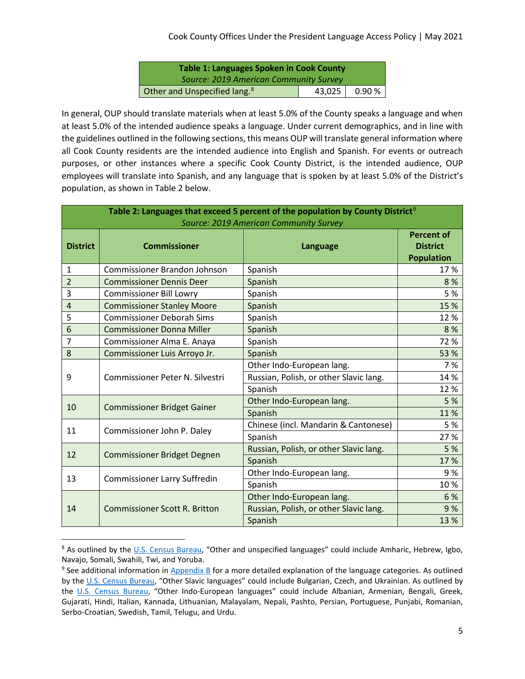| <b>Table 1: Languages Spoken in Cook County</b> |          |                |  |  |  |  |  |  |  |
|-------------------------------------------------|----------|----------------|--|--|--|--|--|--|--|
| Source: 2019 American Community Survey          |          |                |  |  |  |  |  |  |  |
| Other and Unspecified lang. <sup>8</sup>        | $43,025$ | $0.90\,\%$ $ $ |  |  |  |  |  |  |  |

In general, OUP should translate materials when at least 5.0% of the County speaks a language and when at least 5.0% of the intended audience speaks a language. Under current demographics, and in line with the guidelines outlined in the following sections, this means OUP will translate general information where all Cook County residents are the intended audience into English and Spanish. For events or outreach purposes, or other instances where a specific Cook County District, is the intended audience, OUP employees will translate into Spanish, and any language that is spoken by at least 5.0% of the District's population, as shown in Table 2 below.

| Table 2: Languages that exceed 5 percent of the population by County District <sup>9</sup><br>Source: 2019 American Community Survey |                                      |                                        |      |  |  |  |  |  |
|--------------------------------------------------------------------------------------------------------------------------------------|--------------------------------------|----------------------------------------|------|--|--|--|--|--|
| <b>District</b>                                                                                                                      | <b>Commissioner</b>                  | Language                               |      |  |  |  |  |  |
| 1                                                                                                                                    | <b>Commissioner Brandon Johnson</b>  | Spanish                                | 17%  |  |  |  |  |  |
| $\overline{2}$                                                                                                                       | <b>Commissioner Dennis Deer</b>      | Spanish                                | 8%   |  |  |  |  |  |
| 3                                                                                                                                    | <b>Commissioner Bill Lowry</b>       | Spanish                                | 5 %  |  |  |  |  |  |
| 4                                                                                                                                    | <b>Commissioner Stanley Moore</b>    | Spanish                                | 15 % |  |  |  |  |  |
| 5                                                                                                                                    | <b>Commissioner Deborah Sims</b>     | Spanish                                | 12%  |  |  |  |  |  |
| 6                                                                                                                                    | <b>Commissioner Donna Miller</b>     | Spanish                                | 8%   |  |  |  |  |  |
| $\overline{7}$                                                                                                                       | Commissioner Alma E. Anaya           | Spanish                                | 72 % |  |  |  |  |  |
| 8                                                                                                                                    | Commissioner Luis Arroyo Jr.         | Spanish                                | 53 % |  |  |  |  |  |
| 9                                                                                                                                    |                                      | Other Indo-European lang.              | 7 %  |  |  |  |  |  |
|                                                                                                                                      | Commissioner Peter N. Silvestri      | Russian, Polish, or other Slavic lang. | 14 % |  |  |  |  |  |
|                                                                                                                                      |                                      | Spanish                                | 12%  |  |  |  |  |  |
| 10                                                                                                                                   | <b>Commissioner Bridget Gainer</b>   | Other Indo-European lang.              | 5 %  |  |  |  |  |  |
|                                                                                                                                      |                                      | Spanish                                | 11%  |  |  |  |  |  |
| 11                                                                                                                                   | Commissioner John P. Daley           | Chinese (incl. Mandarin & Cantonese)   | 5 %  |  |  |  |  |  |
|                                                                                                                                      |                                      | Spanish                                | 27 % |  |  |  |  |  |
| 12                                                                                                                                   | <b>Commissioner Bridget Degnen</b>   | Russian, Polish, or other Slavic lang. | 5 %  |  |  |  |  |  |
|                                                                                                                                      |                                      | Spanish                                | 17%  |  |  |  |  |  |
| 13                                                                                                                                   | <b>Commissioner Larry Suffredin</b>  | Other Indo-European lang.              | 9%   |  |  |  |  |  |
|                                                                                                                                      |                                      | Spanish                                | 10%  |  |  |  |  |  |
|                                                                                                                                      |                                      | Other Indo-European lang.              | 6 %  |  |  |  |  |  |
| 14                                                                                                                                   | <b>Commissioner Scott R. Britton</b> | Russian, Polish, or other Slavic lang. | 9%   |  |  |  |  |  |
|                                                                                                                                      |                                      | Spanish                                | 13%  |  |  |  |  |  |

<span id="page-4-0"></span><sup>&</sup>lt;sup>8</sup> As outlined by the [U.S. Census Bureau,](https://www.census.gov/topics/population/language-use/about.html) "Other and unspecified languages" could include Amharic, Hebrew, Igbo, Navajo, Somali, Swahili, Twi, and Yoruba.

<span id="page-4-1"></span><sup>&</sup>lt;sup>9</sup> See additional information in [Appendix B](#page-12-0) for a more detailed explanation of the language categories. As outlined by the [U.S. Census Bureau,](https://www.census.gov/topics/population/language-use/about.html) "Other Slavic languages" could include Bulgarian, Czech, and Ukrainian. As outlined by the [U.S. Census Bureau,](https://www.census.gov/topics/population/language-use/about.html) "Other Indo-European languages" could include Albanian, Armenian, Bengali, Greek, Gujarati, Hindi, Italian, Kannada, Lithuanian, Malayalam, Nepali, Pashto, Persian, Portuguese, Punjabi, Romanian, Serbo-Croatian, Swedish, Tamil, Telugu, and Urdu.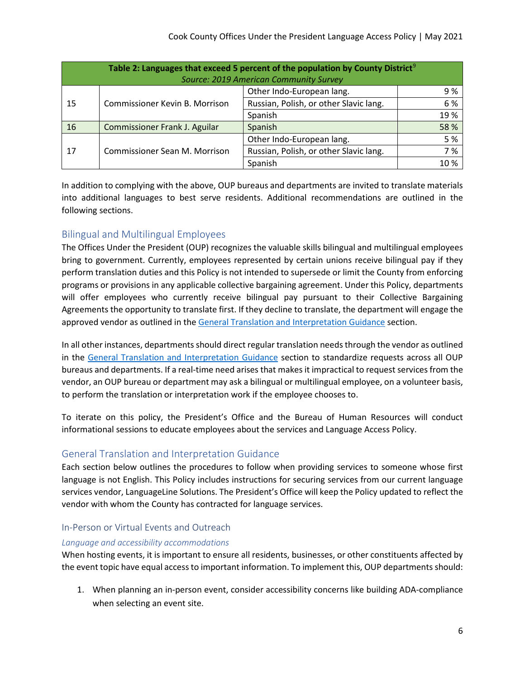| Table 2: Languages that exceed 5 percent of the population by County District <sup>9</sup> |                                |                                        |      |  |  |  |  |  |
|--------------------------------------------------------------------------------------------|--------------------------------|----------------------------------------|------|--|--|--|--|--|
| Source: 2019 American Community Survey                                                     |                                |                                        |      |  |  |  |  |  |
|                                                                                            |                                | Other Indo-European lang.              | 9%   |  |  |  |  |  |
| 15                                                                                         | Commissioner Kevin B. Morrison | Russian, Polish, or other Slavic lang. | 6%   |  |  |  |  |  |
|                                                                                            |                                | Spanish                                | 19%  |  |  |  |  |  |
| 16                                                                                         | Commissioner Frank J. Aguilar  | Spanish                                | 58 % |  |  |  |  |  |
|                                                                                            |                                | Other Indo-European lang.              | 5 %  |  |  |  |  |  |
| 17                                                                                         | Commissioner Sean M. Morrison  | Russian, Polish, or other Slavic lang. | 7 %  |  |  |  |  |  |
|                                                                                            |                                | Spanish                                | 10%  |  |  |  |  |  |

In addition to complying with the above, OUP bureaus and departments are invited to translate materials into additional languages to best serve residents. Additional recommendations are outlined in the following sections.

# <span id="page-5-0"></span>Bilingual and Multilingual Employees

The Offices Under the President (OUP) recognizes the valuable skills bilingual and multilingual employees bring to government. Currently, employees represented by certain unions receive bilingual pay if they perform translation duties and this Policy is not intended to supersede or limit the County from enforcing programs or provisions in any applicable collective bargaining agreement. Under this Policy, departments will offer employees who currently receive bilingual pay pursuant to their Collective Bargaining Agreements the opportunity to translate first. If they decline to translate, the department will engage the approved vendor as outlined in th[e General Translation and Interpretation Guidance](#page-5-1) section.

In all other instances, departments should direct regular translation needs through the vendor as outlined in the [General Translation and Interpretation Guidance](#page-5-1) section to standardize requests across all OUP bureaus and departments. If a real-time need arises that makes it impractical to request services from the vendor, an OUP bureau or department may ask a bilingual or multilingual employee, on a volunteer basis, to perform the translation or interpretation work if the employee chooses to.

To iterate on this policy, the President's Office and the Bureau of Human Resources will conduct informational sessions to educate employees about the services and Language Access Policy.

# <span id="page-5-1"></span>General Translation and Interpretation Guidance

Each section below outlines the procedures to follow when providing services to someone whose first language is not English. This Policy includes instructions for securing services from our current language services vendor, LanguageLine Solutions. The President's Office will keep the Policy updated to reflect the vendor with whom the County has contracted for language services.

# <span id="page-5-2"></span>In-Person or Virtual Events and Outreach

### *Language and accessibility accommodations*

When hosting events, it is important to ensure all residents, businesses, or other constituents affected by the event topic have equal access to important information. To implement this, OUP departments should:

1. When planning an in-person event, consider accessibility concerns like building ADA-compliance when selecting an event site.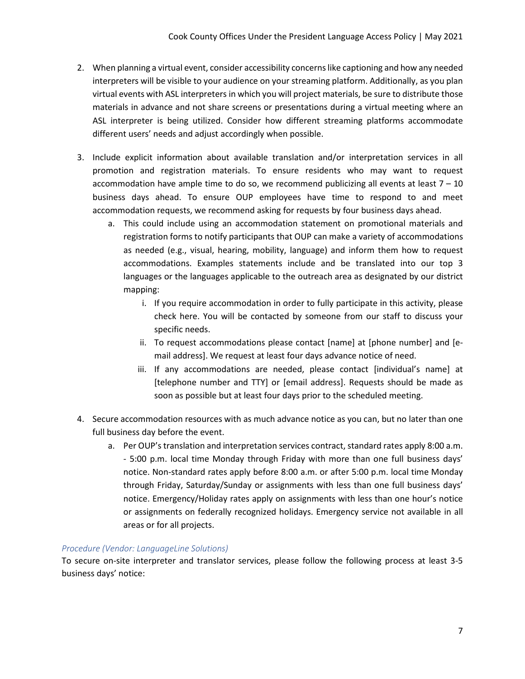- 2. When planning a virtual event, consider accessibility concerns like captioning and how any needed interpreters will be visible to your audience on your streaming platform. Additionally, as you plan virtual events with ASL interpreters in which you will project materials, be sure to distribute those materials in advance and not share screens or presentations during a virtual meeting where an ASL interpreter is being utilized. Consider how different streaming platforms accommodate different users' needs and adjust accordingly when possible.
- 3. Include explicit information about available translation and/or interpretation services in all promotion and registration materials. To ensure residents who may want to request accommodation have ample time to do so, we recommend publicizing all events at least  $7 - 10$ business days ahead. To ensure OUP employees have time to respond to and meet accommodation requests, we recommend asking for requests by four business days ahead.
	- a. This could include using an accommodation statement on promotional materials and registration forms to notify participants that OUP can make a variety of accommodations as needed (e.g., visual, hearing, mobility, language) and inform them how to request accommodations. Examples statements include and be translated into our top 3 languages or the languages applicable to the outreach area as designated by our district mapping:
		- i. If you require accommodation in order to fully participate in this activity, please check here. You will be contacted by someone from our staff to discuss your specific needs.
		- ii. To request accommodations please contact [name] at [phone number] and [email address]. We request at least four days advance notice of need.
		- iii. If any accommodations are needed, please contact [individual's name] at [telephone number and TTY] or [email address]. Requests should be made as soon as possible but at least four days prior to the scheduled meeting.
- 4. Secure accommodation resources with as much advance notice as you can, but no later than one full business day before the event.
	- a. Per OUP's translation and interpretation services contract, standard rates apply 8:00 a.m. - 5:00 p.m. local time Monday through Friday with more than one full business days' notice. Non-standard rates apply before 8:00 a.m. or after 5:00 p.m. local time Monday through Friday, Saturday/Sunday or assignments with less than one full business days' notice. Emergency/Holiday rates apply on assignments with less than one hour's notice or assignments on federally recognized holidays. Emergency service not available in all areas or for all projects.

### *Procedure (Vendor: LanguageLine Solutions)*

To secure on-site interpreter and translator services, please follow the following process at least 3-5 business days' notice: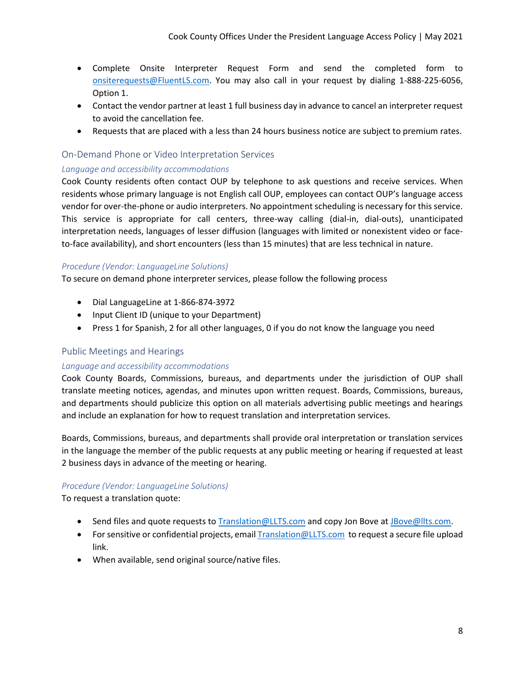- Complete Onsite Interpreter Request Form and send the completed form to [onsiterequests@FluentLS.com.](mailto:onsiterequests@FluentLS.com) You may also call in your request by dialing 1-888-225-6056, Option 1.
- Contact the vendor partner at least 1 full business day in advance to cancel an interpreter request to avoid the cancellation fee.
- Requests that are placed with a less than 24 hours business notice are subject to premium rates.

#### <span id="page-7-0"></span>On-Demand Phone or Video Interpretation Services

#### *Language and accessibility accommodations*

Cook County residents often contact OUP by telephone to ask questions and receive services. When residents whose primary language is not English call OUP, employees can contact OUP's language access vendor for over-the-phone or audio interpreters. No appointment scheduling is necessary for this service. This service is appropriate for call centers, three-way calling (dial-in, dial-outs), unanticipated interpretation needs, languages of lesser diffusion (languages with limited or nonexistent video or faceto-face availability), and short encounters (less than 15 minutes) that are less technical in nature.

#### *Procedure (Vendor: LanguageLine Solutions)*

To secure on demand phone interpreter services, please follow the following process

- Dial LanguageLine at 1-866-874-3972
- Input Client ID (unique to your Department)
- Press 1 for Spanish, 2 for all other languages, 0 if you do not know the language you need

### <span id="page-7-1"></span>Public Meetings and Hearings

#### *Language and accessibility accommodations*

Cook County Boards, Commissions, bureaus, and departments under the jurisdiction of OUP shall translate meeting notices, agendas, and minutes upon written request. Boards, Commissions, bureaus, and departments should publicize this option on all materials advertising public meetings and hearings and include an explanation for how to request translation and interpretation services.

Boards, Commissions, bureaus, and departments shall provide oral interpretation or translation services in the language the member of the public requests at any public meeting or hearing if requested at least 2 business days in advance of the meeting or hearing.

#### *Procedure (Vendor: LanguageLine Solutions)*

To request a translation quote:

- Send files and quote requests t[o Translation@LLTS.com](mailto:Translation@LLTS.com) and copy Jon Bove a[t JBove@llts.com.](mailto:JBove@llts.com)
- For sensitive or confidential projects, emai[l Translation@LLTS.com](mailto:Translation@LLTS.com) to request a secure file upload link.
- When available, send original source/native files.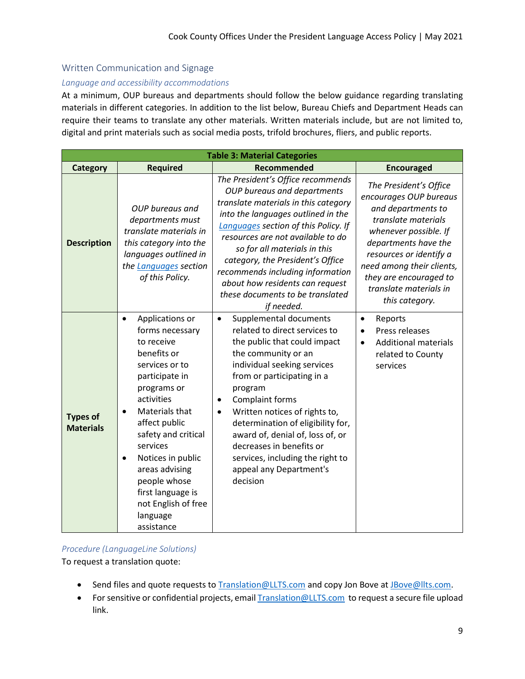### <span id="page-8-0"></span>Written Communication and Signage

#### *Language and accessibility accommodations*

At a minimum, OUP bureaus and departments should follow the below guidance regarding translating materials in different categories. In addition to the list below, Bureau Chiefs and Department Heads can require their teams to translate any other materials. Written materials include, but are not limited to, digital and print materials such as social media posts, trifold brochures, fliers, and public reports.

| <b>Table 3: Material Categories</b> |                                                                                                                                                                                                                                                                                                                                                  |                                                                                                                                                                                                                                                                                                                                                                                                                                         |                                                                                                                                                                                                                                                                              |  |  |  |  |  |  |  |
|-------------------------------------|--------------------------------------------------------------------------------------------------------------------------------------------------------------------------------------------------------------------------------------------------------------------------------------------------------------------------------------------------|-----------------------------------------------------------------------------------------------------------------------------------------------------------------------------------------------------------------------------------------------------------------------------------------------------------------------------------------------------------------------------------------------------------------------------------------|------------------------------------------------------------------------------------------------------------------------------------------------------------------------------------------------------------------------------------------------------------------------------|--|--|--|--|--|--|--|
| Category                            | <b>Required</b>                                                                                                                                                                                                                                                                                                                                  | <b>Recommended</b>                                                                                                                                                                                                                                                                                                                                                                                                                      | <b>Encouraged</b>                                                                                                                                                                                                                                                            |  |  |  |  |  |  |  |
| <b>Description</b>                  | OUP bureaus and<br>departments must<br>translate materials in<br>this category into the<br>languages outlined in<br>the Languages section<br>of this Policy.                                                                                                                                                                                     | The President's Office recommends<br>OUP bureaus and departments<br>translate materials in this category<br>into the languages outlined in the<br>Languages section of this Policy. If<br>resources are not available to do<br>so for all materials in this<br>category, the President's Office<br>recommends including information<br>about how residents can request<br>these documents to be translated<br>if needed.                | The President's Office<br>encourages OUP bureaus<br>and departments to<br>translate materials<br>whenever possible. If<br>departments have the<br>resources or identify a<br>need among their clients,<br>they are encouraged to<br>translate materials in<br>this category. |  |  |  |  |  |  |  |
| <b>Types of</b><br><b>Materials</b> | Applications or<br>$\bullet$<br>forms necessary<br>to receive<br>benefits or<br>services or to<br>participate in<br>programs or<br>activities<br>Materials that<br>affect public<br>safety and critical<br>services<br>Notices in public<br>areas advising<br>people whose<br>first language is<br>not English of free<br>language<br>assistance | Supplemental documents<br>$\bullet$<br>related to direct services to<br>the public that could impact<br>the community or an<br>individual seeking services<br>from or participating in a<br>program<br>Complaint forms<br>Written notices of rights to,<br>determination of eligibility for,<br>award of, denial of, loss of, or<br>decreases in benefits or<br>services, including the right to<br>appeal any Department's<br>decision | Reports<br>$\bullet$<br>Press releases<br><b>Additional materials</b><br>$\bullet$<br>related to County<br>services                                                                                                                                                          |  |  |  |  |  |  |  |

#### *Procedure (LanguageLine Solutions)*

To request a translation quote:

- Send files and quote requests t[o Translation@LLTS.com](mailto:Translation@LLTS.com) and copy Jon Bove a[t JBove@llts.com.](mailto:JBove@llts.com)
- For sensitive or confidential projects, email **Translation@LLTS.com** to request a secure file upload link.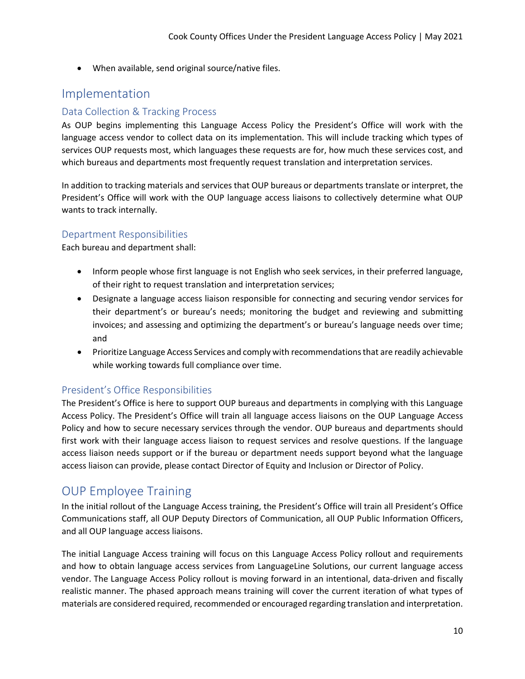• When available, send original source/native files.

# <span id="page-9-0"></span>Implementation

## <span id="page-9-1"></span>Data Collection & Tracking Process

As OUP begins implementing this Language Access Policy the President's Office will work with the language access vendor to collect data on its implementation. This will include tracking which types of services OUP requests most, which languages these requests are for, how much these services cost, and which bureaus and departments most frequently request translation and interpretation services.

In addition to tracking materials and services that OUP bureaus or departments translate or interpret, the President's Office will work with the OUP language access liaisons to collectively determine what OUP wants to track internally.

### <span id="page-9-2"></span>Department Responsibilities

Each bureau and department shall:

- Inform people whose first language is not English who seek services, in their preferred language, of their right to request translation and interpretation services;
- Designate a language access liaison responsible for connecting and securing vendor services for their department's or bureau's needs; monitoring the budget and reviewing and submitting invoices; and assessing and optimizing the department's or bureau's language needs over time; and
- Prioritize Language Access Services and comply with recommendations that are readily achievable while working towards full compliance over time.

# <span id="page-9-3"></span>President's Office Responsibilities

The President's Office is here to support OUP bureaus and departments in complying with this Language Access Policy. The President's Office will train all language access liaisons on the OUP Language Access Policy and how to secure necessary services through the vendor. OUP bureaus and departments should first work with their language access liaison to request services and resolve questions. If the language access liaison needs support or if the bureau or department needs support beyond what the language access liaison can provide, please contact Director of Equity and Inclusion or Director of Policy.

# <span id="page-9-4"></span>OUP Employee Training

In the initial rollout of the Language Access training, the President's Office will train all President's Office Communications staff, all OUP Deputy Directors of Communication, all OUP Public Information Officers, and all OUP language access liaisons.

The initial Language Access training will focus on this Language Access Policy rollout and requirements and how to obtain language access services from LanguageLine Solutions, our current language access vendor. The Language Access Policy rollout is moving forward in an intentional, data-driven and fiscally realistic manner. The phased approach means training will cover the current iteration of what types of materials are considered required, recommended or encouraged regarding translation and interpretation.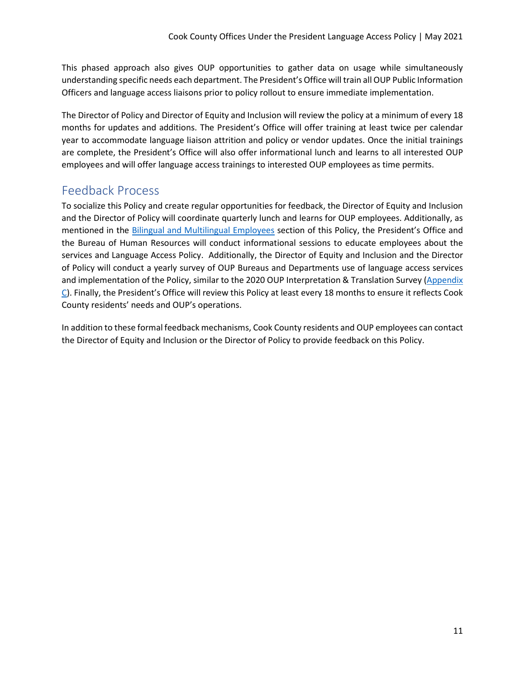This phased approach also gives OUP opportunities to gather data on usage while simultaneously understanding specific needs each department. The President's Office will train all OUP Public Information Officers and language access liaisons prior to policy rollout to ensure immediate implementation.

The Director of Policy and Director of Equity and Inclusion will review the policy at a minimum of every 18 months for updates and additions. The President's Office will offer training at least twice per calendar year to accommodate language liaison attrition and policy or vendor updates. Once the initial trainings are complete, the President's Office will also offer informational lunch and learns to all interested OUP employees and will offer language access trainings to interested OUP employees as time permits.

# <span id="page-10-0"></span>Feedback Process

To socialize this Policy and create regular opportunities for feedback, the Director of Equity and Inclusion and the Director of Policy will coordinate quarterly lunch and learns for OUP employees. Additionally, as mentioned in the [Bilingual and Multilingual Employees](#page-5-0) section of this Policy, the President's Office and the Bureau of Human Resources will conduct informational sessions to educate employees about the services and Language Access Policy. Additionally, the Director of Equity and Inclusion and the Director of Policy will conduct a yearly survey of OUP Bureaus and Departments use of language access services and implementation of the Policy, similar to the 2020 OUP Interpretation & Translation Survey [\(Appendix](#page-12-1)   $C$ ). Finally, the President's Office will review this Policy at least every 18 months to ensure it reflects Cook County residents' needs and OUP's operations.

<span id="page-10-1"></span>In addition to these formal feedback mechanisms, Cook County residents and OUP employees can contact the Director of Equity and Inclusion or the Director of Policy to provide feedback on this Policy.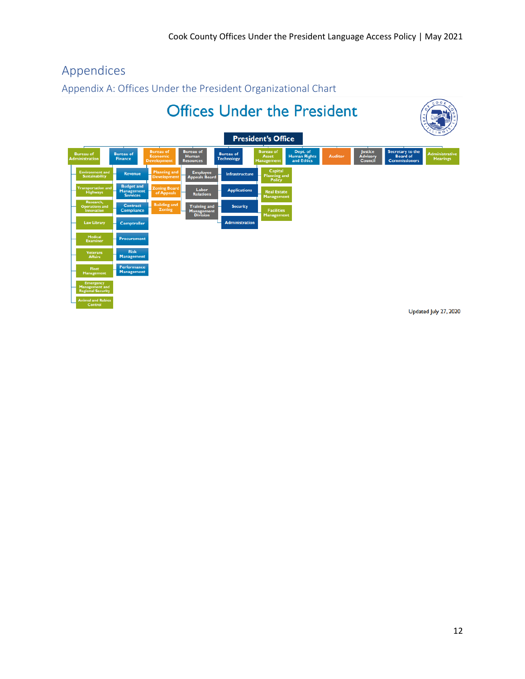# Appendices

<span id="page-11-0"></span>Appendix A: Offices Under the President Organizational Chart



Updated July 27, 2020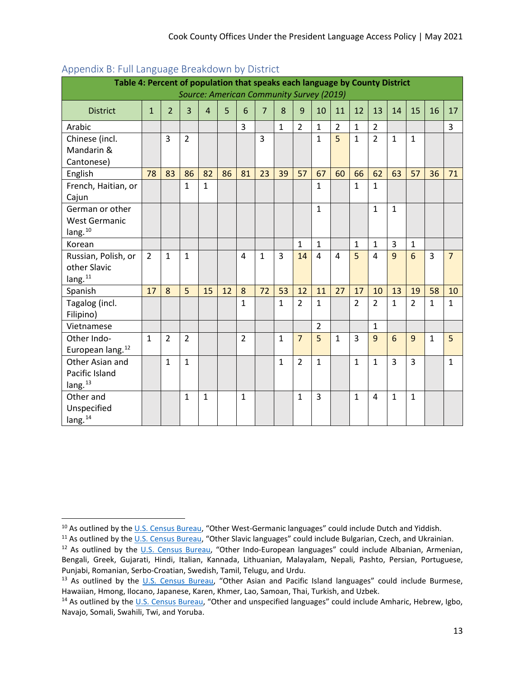| . .                                                                                                                     |                |                |                |                |    |                |                |              |                |                |                |                |                |              |                 |                |                |
|-------------------------------------------------------------------------------------------------------------------------|----------------|----------------|----------------|----------------|----|----------------|----------------|--------------|----------------|----------------|----------------|----------------|----------------|--------------|-----------------|----------------|----------------|
| Table 4: Percent of population that speaks each language by County District<br>Source: American Community Survey (2019) |                |                |                |                |    |                |                |              |                |                |                |                |                |              |                 |                |                |
| <b>District</b>                                                                                                         | $\mathbf{1}$   | $\overline{2}$ | 3              | $\overline{4}$ | 5  | 6              | $\overline{7}$ | 8            | 9              | 10             | 11             | 12             | 13             | 14           | 15              | 16             | 17             |
| Arabic                                                                                                                  |                |                |                |                |    | 3              |                | $\mathbf{1}$ | $\overline{2}$ | $\mathbf{1}$   | $\overline{2}$ | $\mathbf{1}$   | $\overline{2}$ |              |                 |                | $\overline{3}$ |
| Chinese (incl.                                                                                                          |                | 3              | $\overline{2}$ |                |    |                | 3              |              |                | $\mathbf{1}$   | $\overline{5}$ | $\mathbf{1}$   | $\overline{2}$ | $\mathbf{1}$ | $\mathbf{1}$    |                |                |
| Mandarin &                                                                                                              |                |                |                |                |    |                |                |              |                |                |                |                |                |              |                 |                |                |
| Cantonese)                                                                                                              |                |                |                |                |    |                |                |              |                |                |                |                |                |              |                 |                |                |
| English                                                                                                                 | 78             | 83             | 86             | 82             | 86 | 81             | 23             | 39           | 57             | 67             | 60             | 66             | 62             | 63           | 57              | 36             | 71             |
| French, Haitian, or                                                                                                     |                |                | $\mathbf{1}$   | $\mathbf{1}$   |    |                |                |              |                | $\mathbf{1}$   |                | $\mathbf{1}$   | $\mathbf{1}$   |              |                 |                |                |
| Cajun                                                                                                                   |                |                |                |                |    |                |                |              |                |                |                |                |                |              |                 |                |                |
| German or other                                                                                                         |                |                |                |                |    |                |                |              |                | $\mathbf{1}$   |                |                | $\mathbf{1}$   | $\mathbf{1}$ |                 |                |                |
| <b>West Germanic</b>                                                                                                    |                |                |                |                |    |                |                |              |                |                |                |                |                |              |                 |                |                |
| lang. $10$                                                                                                              |                |                |                |                |    |                |                |              |                |                |                |                |                |              |                 |                |                |
| Korean                                                                                                                  |                |                |                |                |    |                |                |              | $\mathbf{1}$   | $\mathbf{1}$   |                | $\mathbf{1}$   | $\mathbf 1$    | 3            | $\mathbf{1}$    |                |                |
| Russian, Polish, or                                                                                                     | $\overline{2}$ | $\mathbf{1}$   | $\mathbf{1}$   |                |    | 4              | $\mathbf{1}$   | 3            | 14             | $\overline{4}$ | 4              | $\overline{5}$ | $\overline{4}$ | 9            | $6\overline{6}$ | $\overline{3}$ | $\overline{7}$ |
| other Slavic                                                                                                            |                |                |                |                |    |                |                |              |                |                |                |                |                |              |                 |                |                |
| lang. <sup>11</sup>                                                                                                     |                |                |                |                |    |                |                |              |                |                |                |                |                |              |                 |                |                |
| Spanish                                                                                                                 | 17             | 8              | 5              | 15             | 12 | 8              | 72             | 53           | 12             | 11             | 27             | 17             | 10             | 13           | 19              | 58             | 10             |
| Tagalog (incl.                                                                                                          |                |                |                |                |    | $\mathbf{1}$   |                | $\mathbf{1}$ | $\overline{2}$ | $\mathbf{1}$   |                | $\overline{2}$ | $\overline{2}$ | $\mathbf{1}$ | $\overline{2}$  | $\mathbf{1}$   | $\mathbf{1}$   |
| Filipino)                                                                                                               |                |                |                |                |    |                |                |              |                |                |                |                |                |              |                 |                |                |
| Vietnamese                                                                                                              |                |                |                |                |    |                |                |              |                | $\overline{2}$ |                |                | $\mathbf{1}$   |              |                 |                |                |
| Other Indo-                                                                                                             | $\mathbf{1}$   | $\overline{2}$ | $\overline{2}$ |                |    | $\overline{2}$ |                | $\mathbf{1}$ | $\overline{7}$ | 5              | $\mathbf{1}$   | 3              | 9              | 6            | 9               | $\mathbf{1}$   | 5              |
| European lang. <sup>12</sup>                                                                                            |                |                |                |                |    |                |                |              |                |                |                |                |                |              |                 |                |                |
| Other Asian and                                                                                                         |                | $\mathbf{1}$   | $\mathbf{1}$   |                |    |                |                | $\mathbf{1}$ | $\overline{2}$ | $\mathbf{1}$   |                | $\mathbf{1}$   | $\mathbf{1}$   | 3            | 3               |                | $\mathbf{1}$   |
| Pacific Island                                                                                                          |                |                |                |                |    |                |                |              |                |                |                |                |                |              |                 |                |                |
| lang. <sup>13</sup>                                                                                                     |                |                |                |                |    |                |                |              |                |                |                |                |                |              |                 |                |                |
| Other and                                                                                                               |                |                | $\mathbf{1}$   | $\mathbf{1}$   |    | $\mathbf{1}$   |                |              | $\mathbf{1}$   | 3              |                | $\mathbf{1}$   | 4              | $\mathbf{1}$ | $\mathbf{1}$    |                |                |
| Unspecified                                                                                                             |                |                |                |                |    |                |                |              |                |                |                |                |                |              |                 |                |                |
| lang. <sup>14</sup>                                                                                                     |                |                |                |                |    |                |                |              |                |                |                |                |                |              |                 |                |                |

# <span id="page-12-0"></span>Appendix B: Full Language Breakdown by District

<span id="page-12-2"></span><span id="page-12-1"></span><sup>&</sup>lt;sup>10</sup> As outlined by the [U.S. Census Bureau,](https://www.census.gov/topics/population/language-use/about.html) "Other West-Germanic languages" could include Dutch and Yiddish.

<span id="page-12-3"></span><sup>&</sup>lt;sup>11</sup> As outlined by the [U.S. Census Bureau,](https://www.census.gov/topics/population/language-use/about.html) "Other Slavic languages" could include Bulgarian, Czech, and Ukrainian.

<span id="page-12-4"></span><sup>&</sup>lt;sup>12</sup> As outlined by the [U.S. Census Bureau,](https://www.census.gov/topics/population/language-use/about.html) "Other Indo-European languages" could include Albanian, Armenian, Bengali, Greek, Gujarati, Hindi, Italian, Kannada, Lithuanian, Malayalam, Nepali, Pashto, Persian, Portuguese, Punjabi, Romanian, Serbo-Croatian, Swedish, Tamil, Telugu, and Urdu.

<span id="page-12-5"></span><sup>&</sup>lt;sup>13</sup> As outlined by the [U.S. Census Bureau,](https://www.census.gov/topics/population/language-use/about.html) "Other Asian and Pacific Island languages" could include Burmese, Hawaiian, Hmong, Ilocano, Japanese, Karen, Khmer, Lao, Samoan, Thai, Turkish, and Uzbek.

<span id="page-12-6"></span><sup>&</sup>lt;sup>14</sup> As outlined by the [U.S. Census Bureau,](https://www.census.gov/topics/population/language-use/about.html) "Other and unspecified languages" could include Amharic, Hebrew, Igbo, Navajo, Somali, Swahili, Twi, and Yoruba.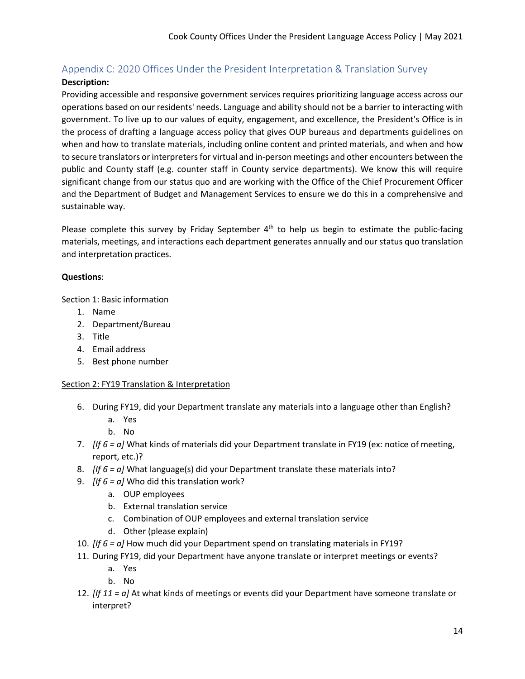# Appendix C: 2020 Offices Under the President Interpretation & Translation Survey

## **Description:**

Providing accessible and responsive government services requires prioritizing language access across our operations based on our residents' needs. Language and ability should not be a barrier to interacting with government. To live up to our values of equity, engagement, and excellence, the President's Office is in the process of drafting a language access policy that gives OUP bureaus and departments guidelines on when and how to translate materials, including online content and printed materials, and when and how to secure translators or interpreters for virtual and in-person meetings and other encounters between the public and County staff (e.g. counter staff in County service departments). We know this will require significant change from our status quo and are working with the Office of the Chief Procurement Officer and the Department of Budget and Management Services to ensure we do this in a comprehensive and sustainable way.

Please complete this survey by Friday September  $4<sup>th</sup>$  to help us begin to estimate the public-facing materials, meetings, and interactions each department generates annually and our status quo translation and interpretation practices.

### **Questions**:

### Section 1: Basic information

- 1. Name
- 2. Department/Bureau
- 3. Title
- 4. Email address
- 5. Best phone number

### Section 2: FY19 Translation & Interpretation

- 6. During FY19, did your Department translate any materials into a language other than English?
	- a. Yes
	- b. No
- 7. *[If 6 = a]* What kinds of materials did your Department translate in FY19 (ex: notice of meeting, report, etc.)?
- 8. *[If 6 = a]* What language(s) did your Department translate these materials into?
- 9. *[If 6 = a]* Who did this translation work?
	- a. OUP employees
	- b. External translation service
	- c. Combination of OUP employees and external translation service
	- d. Other (please explain)
- 10. *[If 6 = a]* How much did your Department spend on translating materials in FY19?
- 11. During FY19, did your Department have anyone translate or interpret meetings or events?
	- a. Yes
	- b. No
- 12. *[If 11 = a]* At what kinds of meetings or events did your Department have someone translate or interpret?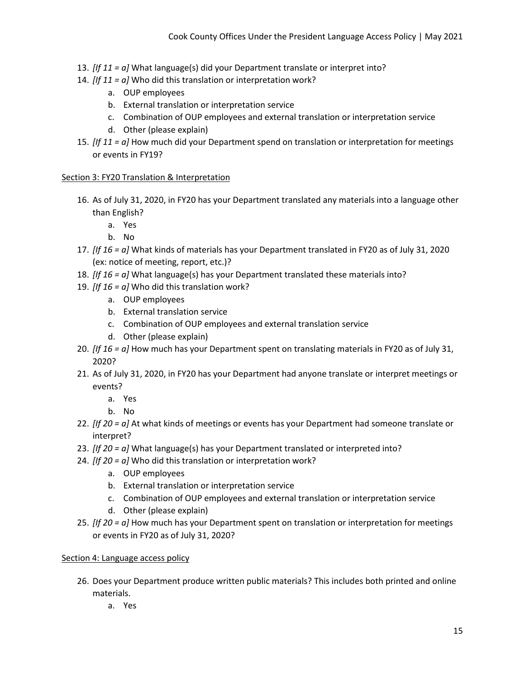- 13. *[If 11 = a]* What language(s) did your Department translate or interpret into?
- 14. *[If 11 = a]* Who did this translation or interpretation work?
	- a. OUP employees
	- b. External translation or interpretation service
	- c. Combination of OUP employees and external translation or interpretation service
	- d. Other (please explain)
- 15. *[If 11 = a]* How much did your Department spend on translation or interpretation for meetings or events in FY19?

#### Section 3: FY20 Translation & Interpretation

- 16. As of July 31, 2020, in FY20 has your Department translated any materials into a language other than English?
	- a. Yes
	- b. No
- 17. *[If 16 = a]* What kinds of materials has your Department translated in FY20 as of July 31, 2020 (ex: notice of meeting, report, etc.)?
- 18. *[If 16 = a]* What language(s) has your Department translated these materials into?
- 19. *[If 16 = a]* Who did this translation work?
	- a. OUP employees
	- b. External translation service
	- c. Combination of OUP employees and external translation service
	- d. Other (please explain)
- 20. *[If 16 = a]* How much has your Department spent on translating materials in FY20 as of July 31, 2020?
- 21. As of July 31, 2020, in FY20 has your Department had anyone translate or interpret meetings or events?
	- a. Yes
	- b. No
- 22. *[If 20 = a]* At what kinds of meetings or events has your Department had someone translate or interpret?
- 23. *[If 20 = a]* What language(s) has your Department translated or interpreted into?
- 24. *[If 20 = a]* Who did this translation or interpretation work?
	- a. OUP employees
	- b. External translation or interpretation service
	- c. Combination of OUP employees and external translation or interpretation service
	- d. Other (please explain)
- 25. *[If 20 = a]* How much has your Department spent on translation or interpretation for meetings or events in FY20 as of July 31, 2020?

### Section 4: Language access policy

- 26. Does your Department produce written public materials? This includes both printed and online materials.
	- a. Yes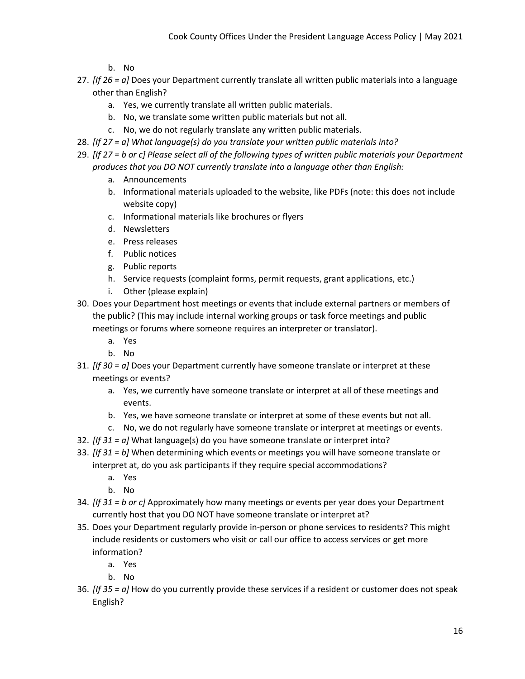b. No

- 27. *[If 26 = a]* Does your Department currently translate all written public materials into a language other than English?
	- a. Yes, we currently translate all written public materials.
	- b. No, we translate some written public materials but not all.
	- c. No, we do not regularly translate any written public materials.
- 28. *[If 27 = a] What language(s) do you translate your written public materials into?*
- 29. *[If 27 = b or c] Please select all of the following types of written public materials your Department produces that you DO NOT currently translate into a language other than English:*
	- a. Announcements
	- b. Informational materials uploaded to the website, like PDFs (note: this does not include website copy)
	- c. Informational materials like brochures or flyers
	- d. Newsletters
	- e. Press releases
	- f. Public notices
	- g. Public reports
	- h. Service requests (complaint forms, permit requests, grant applications, etc.)
	- i. Other (please explain)
- 30. Does your Department host meetings or events that include external partners or members of the public? (This may include internal working groups or task force meetings and public meetings or forums where someone requires an interpreter or translator).
	- a. Yes
	- b. No
- 31. *[If 30 = a]* Does your Department currently have someone translate or interpret at these meetings or events?
	- a. Yes, we currently have someone translate or interpret at all of these meetings and events.
	- b. Yes, we have someone translate or interpret at some of these events but not all.
	- c. No, we do not regularly have someone translate or interpret at meetings or events.
- 32. *[If 31 = a]* What language(s) do you have someone translate or interpret into?
- 33. *[If 31 = b]* When determining which events or meetings you will have someone translate or interpret at, do you ask participants if they require special accommodations?
	- a. Yes
	- b. No
- 34. *[If 31 = b or c]* Approximately how many meetings or events per year does your Department currently host that you DO NOT have someone translate or interpret at?
- 35. Does your Department regularly provide in-person or phone services to residents? This might include residents or customers who visit or call our office to access services or get more information?
	- a. Yes
	- b. No
- 36. *[If 35 = a]* How do you currently provide these services if a resident or customer does not speak English?